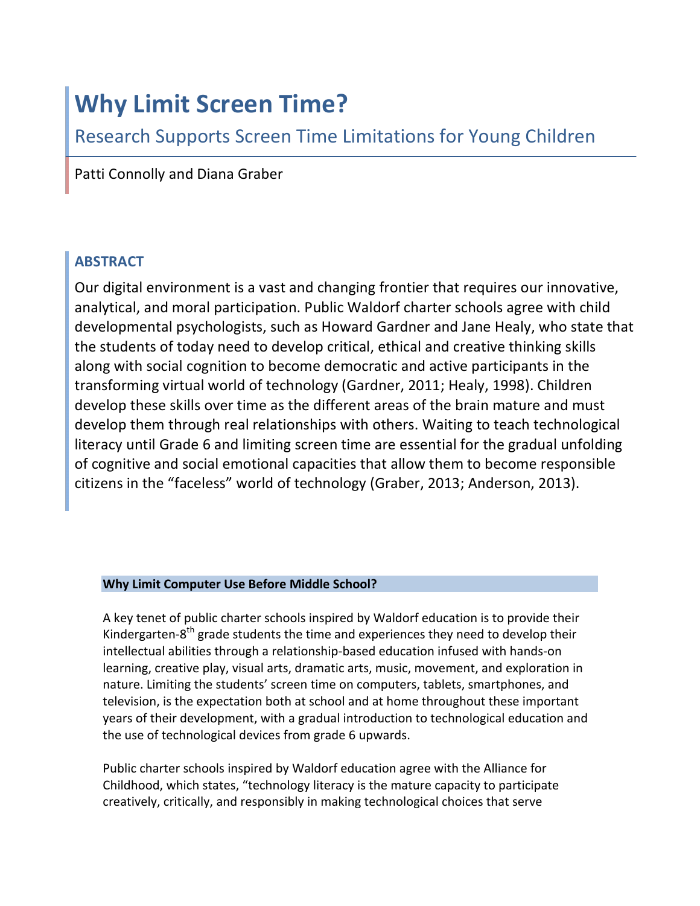# **Why Limit Screen Time?**

Research Supports Screen Time Limitations for Young Children

Patti Connolly and Diana Graber

## **ABSTRACT**

Our digital environment is a vast and changing frontier that requires our innovative, analytical, and moral participation. Public Waldorf charter schools agree with child developmental psychologists, such as Howard Gardner and Jane Healy, who state that the students of today need to develop critical, ethical and creative thinking skills along with social cognition to become democratic and active participants in the transforming virtual world of technology (Gardner, 2011; Healy, 1998). Children develop these skills over time as the different areas of the brain mature and must develop them through real relationships with others. Waiting to teach technological literacy until Grade 6 and limiting screen time are essential for the gradual unfolding of cognitive and social emotional capacities that allow them to become responsible citizens in the "faceless" world of technology (Graber, 2013; Anderson, 2013).

## **Why Limit Computer Use Before Middle School?**

A key tenet of public charter schools inspired by Waldorf education is to provide their Kindergarten-8<sup>th</sup> grade students the time and experiences they need to develop their intellectual abilities through a relationship-based education infused with hands-on learning, creative play, visual arts, dramatic arts, music, movement, and exploration in nature. Limiting the students' screen time on computers, tablets, smartphones, and television, is the expectation both at school and at home throughout these important years of their development, with a gradual introduction to technological education and the use of technological devices from grade 6 upwards.

Public charter schools inspired by Waldorf education agree with the Alliance for Childhood, which states, "technology literacy is the mature capacity to participate creatively, critically, and responsibly in making technological choices that serve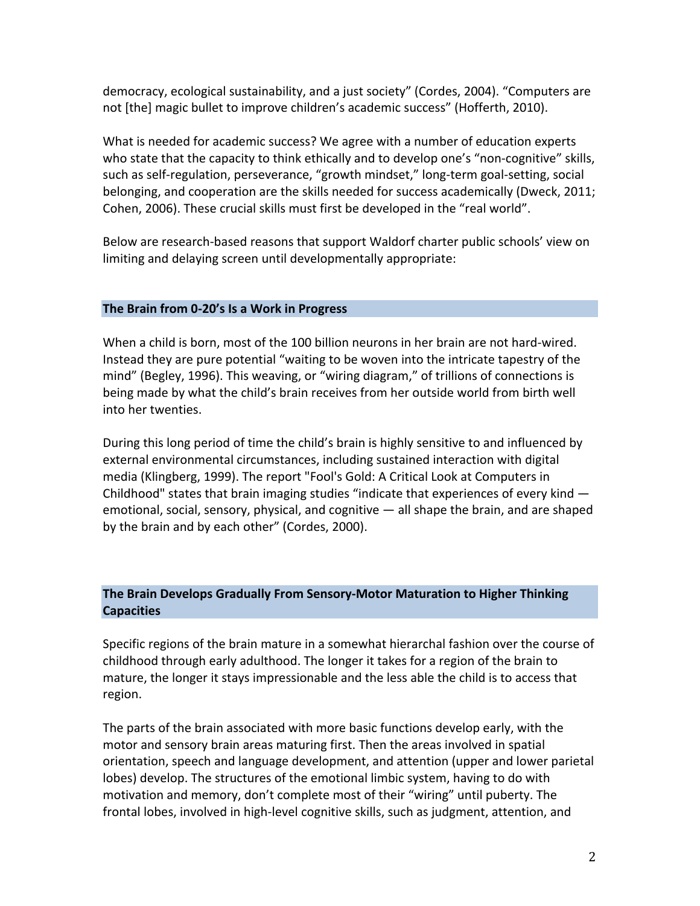democracy, ecological sustainability, and a just society" (Cordes, 2004). "Computers are not [the] magic bullet to improve children's academic success" (Hofferth, 2010).

What is needed for academic success? We agree with a number of education experts who state that the capacity to think ethically and to develop one's "non-cognitive" skills, such as self-regulation, perseverance, "growth mindset," long-term goal-setting, social belonging, and cooperation are the skills needed for success academically (Dweck, 2011; Cohen, 2006). These crucial skills must first be developed in the "real world".

Below are research-based reasons that support Waldorf charter public schools' view on limiting and delaying screen until developmentally appropriate:

### The Brain from 0-20's Is a Work in Progress

When a child is born, most of the 100 billion neurons in her brain are not hard-wired. Instead they are pure potential "waiting to be woven into the intricate tapestry of the mind" (Begley, 1996). This weaving, or "wiring diagram," of trillions of connections is being made by what the child's brain receives from her outside world from birth well into her twenties.

During this long period of time the child's brain is highly sensitive to and influenced by external environmental circumstances, including sustained interaction with digital media (Klingberg, 1999). The report "Fool's Gold: A Critical Look at Computers in Childhood" states that brain imaging studies "indicate that experiences of every kind  $$ emotional, social, sensory, physical, and cognitive  $-$  all shape the brain, and are shaped by the brain and by each other" (Cordes, 2000).

## **The Brain Develops Gradually From Sensory-Motor Maturation to Higher Thinking Capacities**

Specific regions of the brain mature in a somewhat hierarchal fashion over the course of childhood through early adulthood. The longer it takes for a region of the brain to mature, the longer it stays impressionable and the less able the child is to access that region.

The parts of the brain associated with more basic functions develop early, with the motor and sensory brain areas maturing first. Then the areas involved in spatial orientation, speech and language development, and attention (upper and lower parietal lobes) develop. The structures of the emotional limbic system, having to do with motivation and memory, don't complete most of their "wiring" until puberty. The frontal lobes, involved in high-level cognitive skills, such as judgment, attention, and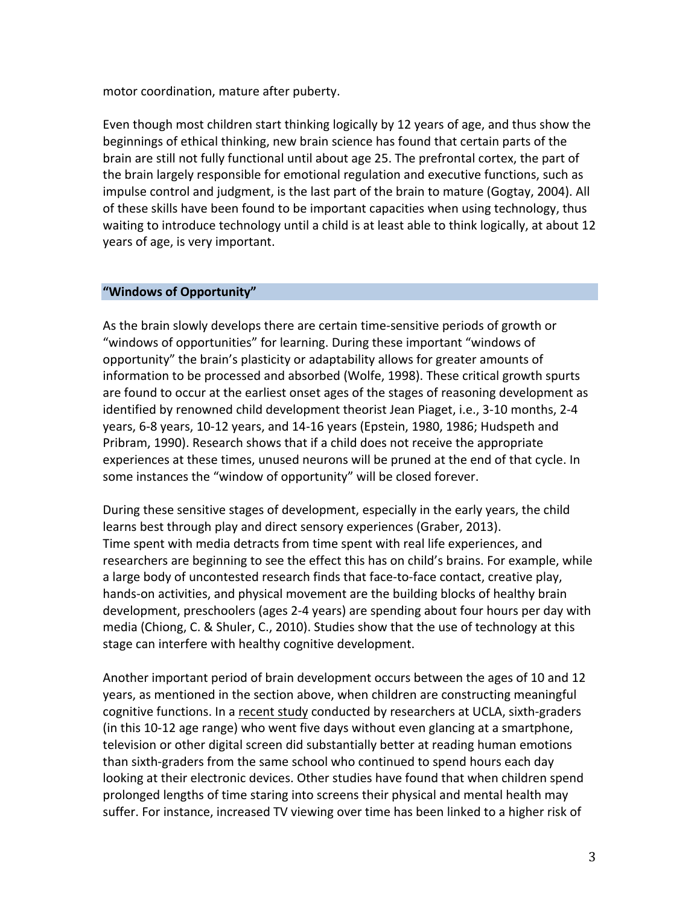motor coordination, mature after puberty.

Even though most children start thinking logically by 12 years of age, and thus show the beginnings of ethical thinking, new brain science has found that certain parts of the brain are still not fully functional until about age 25. The prefrontal cortex, the part of the brain largely responsible for emotional regulation and executive functions, such as impulse control and judgment, is the last part of the brain to mature (Gogtay, 2004). All of these skills have been found to be important capacities when using technology, thus waiting to introduce technology until a child is at least able to think logically, at about 12 years of age, is very important.

#### **"Windows of Opportunity"**

As the brain slowly develops there are certain time-sensitive periods of growth or "windows of opportunities" for learning. During these important "windows of opportunity" the brain's plasticity or adaptability allows for greater amounts of information to be processed and absorbed (Wolfe, 1998). These critical growth spurts are found to occur at the earliest onset ages of the stages of reasoning development as identified by renowned child development theorist Jean Piaget, i.e., 3-10 months, 2-4 years, 6-8 years, 10-12 years, and 14-16 years (Epstein, 1980, 1986; Hudspeth and Pribram, 1990). Research shows that if a child does not receive the appropriate experiences at these times, unused neurons will be pruned at the end of that cycle. In some instances the "window of opportunity" will be closed forever.

During these sensitive stages of development, especially in the early years, the child learns best through play and direct sensory experiences (Graber, 2013). Time spent with media detracts from time spent with real life experiences, and researchers are beginning to see the effect this has on child's brains. For example, while a large body of uncontested research finds that face-to-face contact, creative play, hands-on activities, and physical movement are the building blocks of healthy brain development, preschoolers (ages 2-4 years) are spending about four hours per day with media (Chiong, C. & Shuler, C., 2010). Studies show that the use of technology at this stage can interfere with healthy cognitive development.

Another important period of brain development occurs between the ages of 10 and 12 years, as mentioned in the section above, when children are constructing meaningful cognitive functions. In a recent study conducted by researchers at UCLA, sixth-graders (in this 10-12 age range) who went five days without even glancing at a smartphone, television or other digital screen did substantially better at reading human emotions than sixth-graders from the same school who continued to spend hours each day looking at their electronic devices. Other studies have found that when children spend prolonged lengths of time staring into screens their physical and mental health may suffer. For instance, increased TV viewing over time has been linked to a higher risk of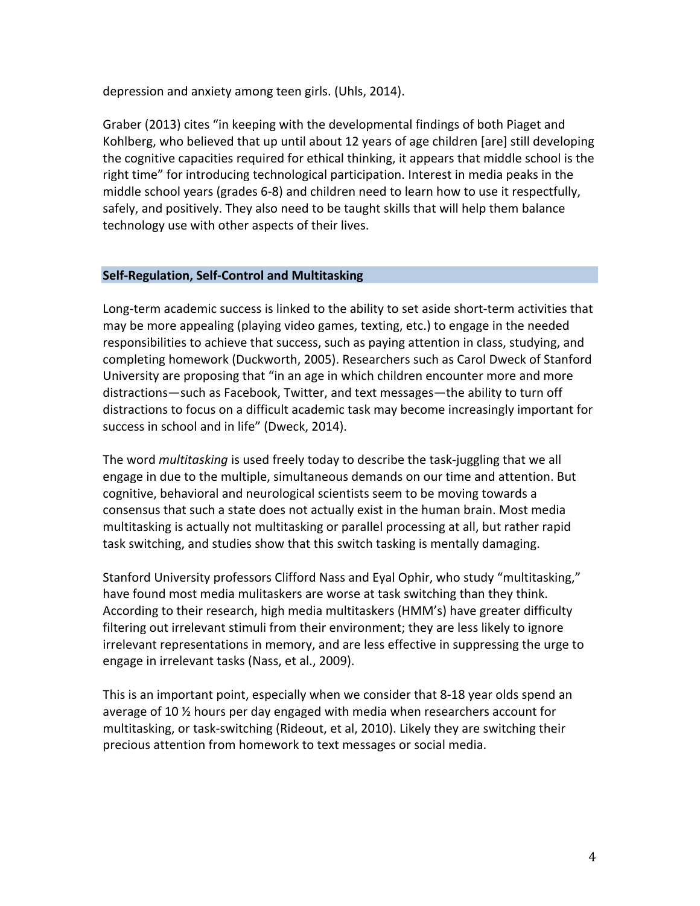depression and anxiety among teen girls. (Uhls, 2014).

Graber (2013) cites "in keeping with the developmental findings of both Piaget and Kohlberg, who believed that up until about 12 years of age children [are] still developing the cognitive capacities required for ethical thinking, it appears that middle school is the right time" for introducing technological participation. Interest in media peaks in the middle school years (grades 6-8) and children need to learn how to use it respectfully, safely, and positively. They also need to be taught skills that will help them balance technology use with other aspects of their lives.

#### **Self-Regulation, Self-Control and Multitasking**

Long-term academic success is linked to the ability to set aside short-term activities that may be more appealing (playing video games, texting, etc.) to engage in the needed responsibilities to achieve that success, such as paying attention in class, studying, and completing homework (Duckworth, 2005). Researchers such as Carol Dweck of Stanford University are proposing that "in an age in which children encounter more and more distractions—such as Facebook, Twitter, and text messages—the ability to turn off distractions to focus on a difficult academic task may become increasingly important for success in school and in life" (Dweck, 2014).

The word *multitasking* is used freely today to describe the task-juggling that we all engage in due to the multiple, simultaneous demands on our time and attention. But cognitive, behavioral and neurological scientists seem to be moving towards a consensus that such a state does not actually exist in the human brain. Most media multitasking is actually not multitasking or parallel processing at all, but rather rapid task switching, and studies show that this switch tasking is mentally damaging.

Stanford University professors Clifford Nass and Eyal Ophir, who study "multitasking," have found most media mulitaskers are worse at task switching than they think. According to their research, high media multitaskers (HMM's) have greater difficulty filtering out irrelevant stimuli from their environment; they are less likely to ignore irrelevant representations in memory, and are less effective in suppressing the urge to engage in irrelevant tasks (Nass, et al., 2009).

This is an important point, especially when we consider that 8-18 year olds spend an average of 10  $\frac{1}{2}$  hours per day engaged with media when researchers account for multitasking, or task-switching (Rideout, et al, 2010). Likely they are switching their precious attention from homework to text messages or social media.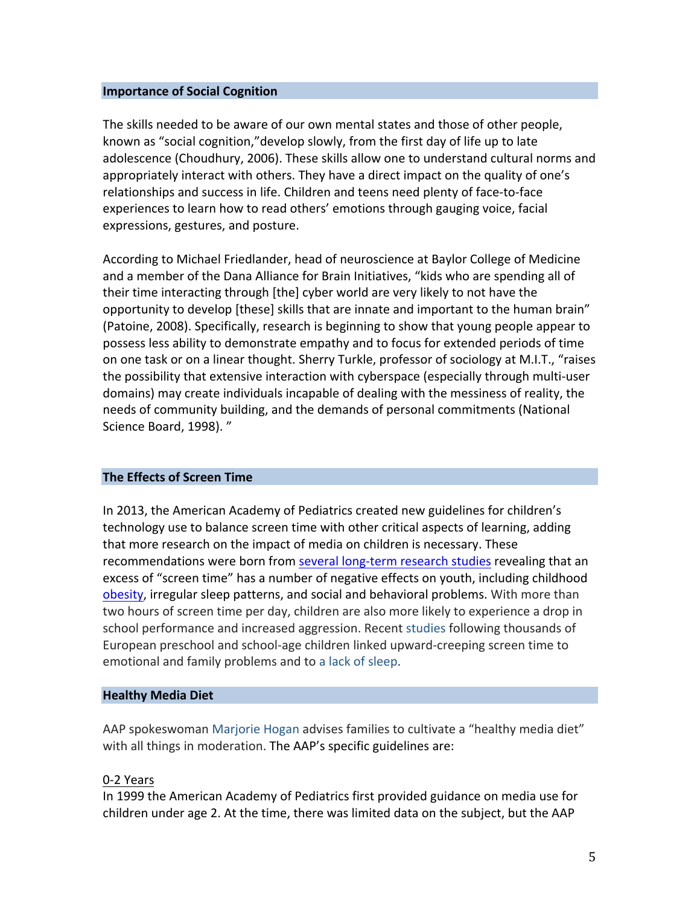#### **Importance of Social Cognition**

The skills needed to be aware of our own mental states and those of other people, known as "social cognition," develop slowly, from the first day of life up to late adolescence (Choudhury, 2006). These skills allow one to understand cultural norms and appropriately interact with others. They have a direct impact on the quality of one's relationships and success in life. Children and teens need plenty of face-to-face experiences to learn how to read others' emotions through gauging voice, facial expressions, gestures, and posture.

According to Michael Friedlander, head of neuroscience at Baylor College of Medicine and a member of the Dana Alliance for Brain Initiatives, "kids who are spending all of their time interacting through [the] cyber world are very likely to not have the opportunity to develop [these] skills that are innate and important to the human brain" (Patoine, 2008). Specifically, research is beginning to show that young people appear to possess less ability to demonstrate empathy and to focus for extended periods of time on one task or on a linear thought. Sherry Turkle, professor of sociology at M.I.T., "raises the possibility that extensive interaction with cyberspace (especially through multi-user domains) may create individuals incapable of dealing with the messiness of reality, the needs of community building, and the demands of personal commitments (National Science Board, 1998). "

#### **The Effects of Screen Time**

In 2013, the American Academy of Pediatrics created new guidelines for children's technology use to balance screen time with other critical aspects of learning, adding that more research on the impact of media on children is necessary. These recommendations were born from several long-term research studies revealing that an excess of "screen time" has a number of negative effects on youth, including childhood obesity, irregular sleep patterns, and social and behavioral problems. With more than two hours of screen time per day, children are also more likely to experience a drop in school performance and increased aggression. Recent studies following thousands of European preschool and school-age children linked upward-creeping screen time to emotional and family problems and to a lack of sleep.

#### **Healthy Media Diet**

AAP spokeswoman Marjorie Hogan advises families to cultivate a "healthy media diet" with all things in moderation. The AAP's specific guidelines are:

#### 0-2 Years

In 1999 the American Academy of Pediatrics first provided guidance on media use for children under age 2. At the time, there was limited data on the subject, but the AAP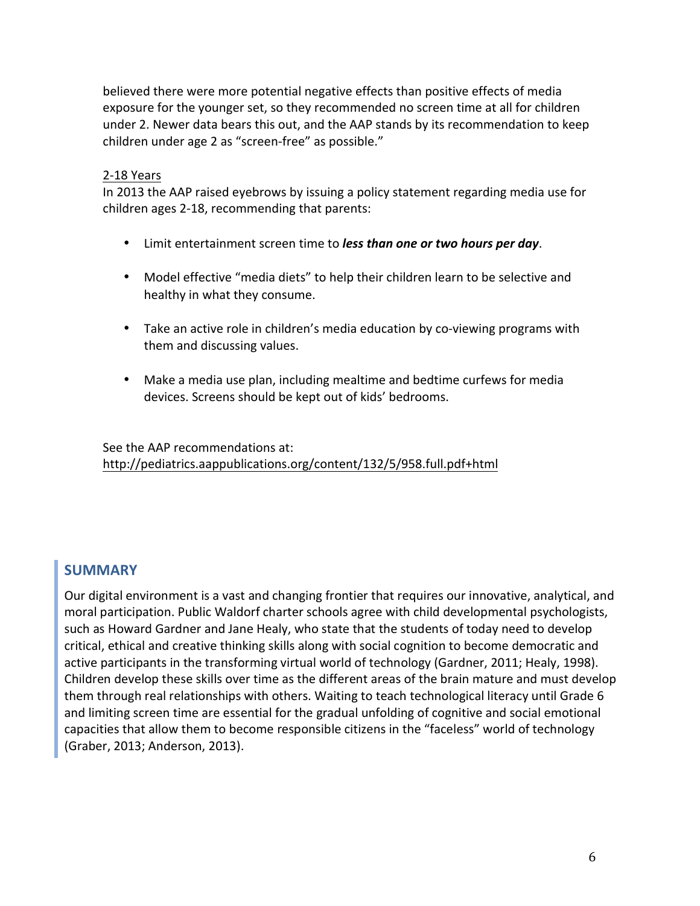believed there were more potential negative effects than positive effects of media exposure for the younger set, so they recommended no screen time at all for children under 2. Newer data bears this out, and the AAP stands by its recommendation to keep children under age 2 as "screen-free" as possible."

#### 2-18 Years

In 2013 the AAP raised eyebrows by issuing a policy statement regarding media use for children ages 2-18, recommending that parents:

- Limit entertainment screen time to *less than one or two hours per day*.
- Model effective "media diets" to help their children learn to be selective and healthy in what they consume.
- Take an active role in children's media education by co-viewing programs with them and discussing values.
- Make a media use plan, including mealtime and bedtime curfews for media devices. Screens should be kept out of kids' bedrooms.

See the AAP recommendations at: http://pediatrics.aappublications.org/content/132/5/958.full.pdf+html

## **SUMMARY**

Our digital environment is a vast and changing frontier that requires our innovative, analytical, and moral participation. Public Waldorf charter schools agree with child developmental psychologists, such as Howard Gardner and Jane Healy, who state that the students of today need to develop critical, ethical and creative thinking skills along with social cognition to become democratic and active participants in the transforming virtual world of technology (Gardner, 2011; Healy, 1998). Children develop these skills over time as the different areas of the brain mature and must develop them through real relationships with others. Waiting to teach technological literacy until Grade 6 and limiting screen time are essential for the gradual unfolding of cognitive and social emotional capacities that allow them to become responsible citizens in the "faceless" world of technology (Graber, 2013; Anderson, 2013).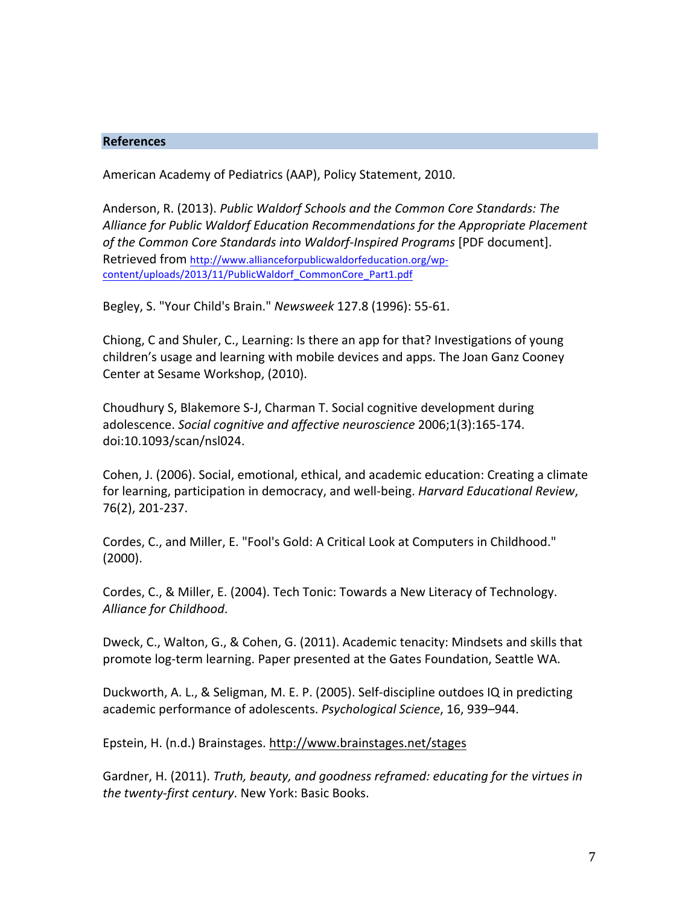#### **References**

American Academy of Pediatrics (AAP), Policy Statement, 2010.

Anderson, R. (2013). *Public Waldorf Schools and the Common Core Standards: The* Alliance for Public Waldorf Education Recommendations for the Appropriate Placement of the Common Core Standards into Waldorf-Inspired Programs [PDF document]. Retrieved from http://www.allianceforpublicwaldorfeducation.org/wpcontent/uploads/2013/11/PublicWaldorf\_CommonCore\_Part1.pdf

Begley, S. "Your Child's Brain." *Newsweek* 127.8 (1996): 55-61. 

Chiong, C and Shuler, C., Learning: Is there an app for that? Investigations of young children's usage and learning with mobile devices and apps. The Joan Ganz Cooney Center at Sesame Workshop, (2010).

Choudhury S, Blakemore S-J, Charman T. Social cognitive development during adolescence. *Social cognitive and affective neuroscience* 2006;1(3):165-174. doi:10.1093/scan/nsl024.

Cohen, J. (2006). Social, emotional, ethical, and academic education: Creating a climate for learning, participation in democracy, and well-being. *Harvard Educational Review*, 76(2), 201-237.

Cordes, C., and Miller, E. "Fool's Gold: A Critical Look at Computers in Childhood." (2000).

Cordes, C., & Miller, E. (2004). Tech Tonic: Towards a New Literacy of Technology. *Alliance for Childhood*.

Dweck, C., Walton, G., & Cohen, G. (2011). Academic tenacity: Mindsets and skills that promote log-term learning. Paper presented at the Gates Foundation, Seattle WA.

Duckworth, A. L., & Seligman, M. E. P. (2005). Self-discipline outdoes IQ in predicting academic performance of adolescents. *Psychological Science*, 16, 939–944.

Epstein, H. (n.d.) Brainstages. http://www.brainstages.net/stages

Gardner, H. (2011). *Truth, beauty, and goodness reframed: educating for the virtues in* the twenty-first century. New York: Basic Books.